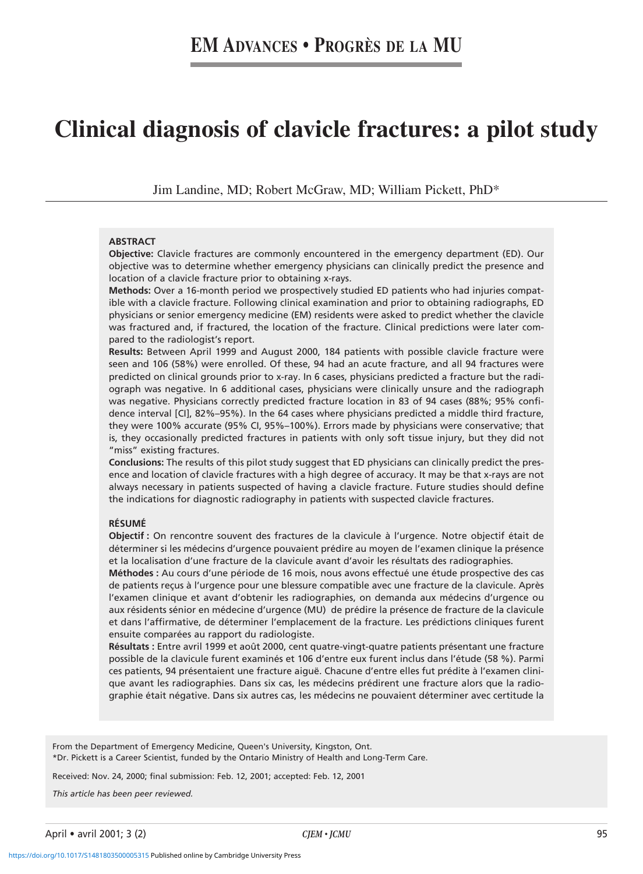# **Clinical diagnosis of clavicle fractures: a pilot study**

Jim Landine, MD; Robert McGraw, MD; William Pickett, PhD\*

#### **ABSTRACT**

**Objective:** Clavicle fractures are commonly encountered in the emergency department (ED). Our objective was to determine whether emergency physicians can clinically predict the presence and location of a clavicle fracture prior to obtaining x-rays.

**Methods:** Over a 16-month period we prospectively studied ED patients who had injuries compatible with a clavicle fracture. Following clinical examination and prior to obtaining radiographs, ED physicians or senior emergency medicine (EM) residents were asked to predict whether the clavicle was fractured and, if fractured, the location of the fracture. Clinical predictions were later compared to the radiologist's report.

**Results:** Between April 1999 and August 2000, 184 patients with possible clavicle fracture were seen and 106 (58%) were enrolled. Of these, 94 had an acute fracture, and all 94 fractures were predicted on clinical grounds prior to x-ray. In 6 cases, physicians predicted a fracture but the radiograph was negative. In 6 additional cases, physicians were clinically unsure and the radiograph was negative. Physicians correctly predicted fracture location in 83 of 94 cases (88%; 95% confidence interval [CI], 82%–95%). In the 64 cases where physicians predicted a middle third fracture, they were 100% accurate (95% CI, 95%–100%). Errors made by physicians were conservative; that is, they occasionally predicted fractures in patients with only soft tissue injury, but they did not "miss" existing fractures.

**Conclusions:** The results of this pilot study suggest that ED physicians can clinically predict the presence and location of clavicle fractures with a high degree of accuracy. It may be that x-rays are not always necessary in patients suspected of having a clavicle fracture. Future studies should define the indications for diagnostic radiography in patients with suspected clavicle fractures.

#### **RÉSUMÉ**

**Objectif :** On rencontre souvent des fractures de la clavicule à l'urgence. Notre objectif était de déterminer si les médecins d'urgence pouvaient prédire au moyen de l'examen clinique la présence et la localisation d'une fracture de la clavicule avant d'avoir les résultats des radiographies.

**Méthodes :** Au cours d'une période de 16 mois, nous avons effectué une étude prospective des cas de patients reçus à l'urgence pour une blessure compatible avec une fracture de la clavicule. Après l'examen clinique et avant d'obtenir les radiographies, on demanda aux médecins d'urgence ou aux résidents sénior en médecine d'urgence (MU) de prédire la présence de fracture de la clavicule et dans l'affirmative, de déterminer l'emplacement de la fracture. Les prédictions cliniques furent ensuite comparées au rapport du radiologiste.

**Résultats :** Entre avril 1999 et août 2000, cent quatre-vingt-quatre patients présentant une fracture possible de la clavicule furent examinés et 106 d'entre eux furent inclus dans l'étude (58 %). Parmi ces patients, 94 présentaient une fracture aiguë. Chacune d'entre elles fut prédite à l'examen clinique avant les radiographies. Dans six cas, les médecins prédirent une fracture alors que la radiographie était négative. Dans six autres cas, les médecins ne pouvaient déterminer avec certitude la

From the Department of Emergency Medicine, Queen's University, Kingston, Ont. \*Dr. Pickett is a Career Scientist, funded by the Ontario Ministry of Health and Long-Term Care.

Received: Nov. 24, 2000; final submission: Feb. 12, 2001; accepted: Feb. 12, 2001

*This article has been peer reviewed.*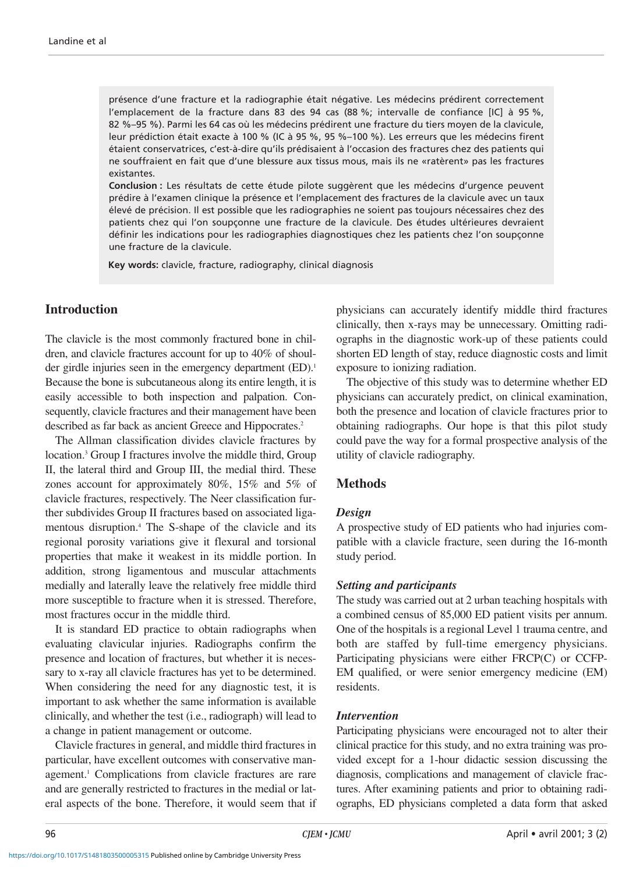présence d'une fracture et la radiographie était négative. Les médecins prédirent correctement l'emplacement de la fracture dans 83 des 94 cas (88 %; intervalle de confiance [IC] à 95 %, 82 %–95 %). Parmi les 64 cas où les médecins prédirent une fracture du tiers moyen de la clavicule, leur prédiction était exacte à 100 % (IC à 95 %, 95 %–100 %). Les erreurs que les médecins firent étaient conservatrices, c'est-à-dire qu'ils prédisaient à l'occasion des fractures chez des patients qui ne souffraient en fait que d'une blessure aux tissus mous, mais ils ne «ratèrent» pas les fractures existantes.

**Conclusion :** Les résultats de cette étude pilote suggèrent que les médecins d'urgence peuvent prédire à l'examen clinique la présence et l'emplacement des fractures de la clavicule avec un taux élevé de précision. Il est possible que les radiographies ne soient pas toujours nécessaires chez des patients chez qui l'on soupçonne une fracture de la clavicule. Des études ultérieures devraient définir les indications pour les radiographies diagnostiques chez les patients chez l'on soupçonne une fracture de la clavicule.

**Key words:** clavicle, fracture, radiography, clinical diagnosis

## **Introduction**

The clavicle is the most commonly fractured bone in children, and clavicle fractures account for up to 40% of shoulder girdle injuries seen in the emergency department (ED).<sup>1</sup> Because the bone is subcutaneous along its entire length, it is easily accessible to both inspection and palpation. Consequently, clavicle fractures and their management have been described as far back as ancient Greece and Hippocrates.<sup>2</sup>

The Allman classification divides clavicle fractures by location.3 Group I fractures involve the middle third, Group II, the lateral third and Group III, the medial third. These zones account for approximately 80%, 15% and 5% of clavicle fractures, respectively. The Neer classification further subdivides Group II fractures based on associated ligamentous disruption.<sup>4</sup> The S-shape of the clavicle and its regional porosity variations give it flexural and torsional properties that make it weakest in its middle portion. In addition, strong ligamentous and muscular attachments medially and laterally leave the relatively free middle third more susceptible to fracture when it is stressed. Therefore, most fractures occur in the middle third.

It is standard ED practice to obtain radiographs when evaluating clavicular injuries. Radiographs confirm the presence and location of fractures, but whether it is necessary to x-ray all clavicle fractures has yet to be determined. When considering the need for any diagnostic test, it is important to ask whether the same information is available clinically, and whether the test (i.e., radiograph) will lead to a change in patient management or outcome.

Clavicle fractures in general, and middle third fractures in particular, have excellent outcomes with conservative management.<sup>1</sup> Complications from clavicle fractures are rare and are generally restricted to fractures in the medial or lateral aspects of the bone. Therefore, it would seem that if physicians can accurately identify middle third fractures clinically, then x-rays may be unnecessary. Omitting radiographs in the diagnostic work-up of these patients could shorten ED length of stay, reduce diagnostic costs and limit exposure to ionizing radiation.

The objective of this study was to determine whether ED physicians can accurately predict, on clinical examination, both the presence and location of clavicle fractures prior to obtaining radiographs. Our hope is that this pilot study could pave the way for a formal prospective analysis of the utility of clavicle radiography.

## **Methods**

### *Design*

A prospective study of ED patients who had injuries compatible with a clavicle fracture, seen during the 16-month study period.

### *Setting and participants*

The study was carried out at 2 urban teaching hospitals with a combined census of 85,000 ED patient visits per annum. One of the hospitals is a regional Level 1 trauma centre, and both are staffed by full-time emergency physicians. Participating physicians were either FRCP(C) or CCFP-EM qualified, or were senior emergency medicine (EM) residents.

### *Intervention*

Participating physicians were encouraged not to alter their clinical practice for this study, and no extra training was provided except for a 1-hour didactic session discussing the diagnosis, complications and management of clavicle fractures. After examining patients and prior to obtaining radiographs, ED physicians completed a data form that asked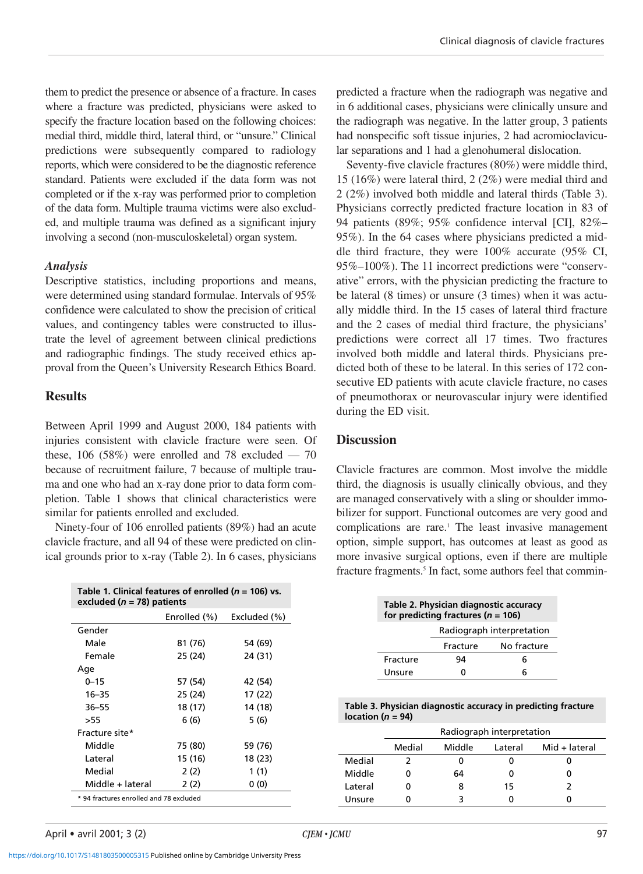them to predict the presence or absence of a fracture. In cases where a fracture was predicted, physicians were asked to specify the fracture location based on the following choices: medial third, middle third, lateral third, or "unsure." Clinical predictions were subsequently compared to radiology reports, which were considered to be the diagnostic reference standard. Patients were excluded if the data form was not completed or if the x-ray was performed prior to completion of the data form. Multiple trauma victims were also excluded, and multiple trauma was defined as a significant injury involving a second (non-musculoskeletal) organ system.

## *Analysis*

Descriptive statistics, including proportions and means, were determined using standard formulae. Intervals of 95% confidence were calculated to show the precision of critical values, and contingency tables were constructed to illustrate the level of agreement between clinical predictions and radiographic findings. The study received ethics approval from the Queen's University Research Ethics Board.

## **Results**

Between April 1999 and August 2000, 184 patients with injuries consistent with clavicle fracture were seen. Of these,  $106$  (58%) were enrolled and 78 excluded  $-70$ because of recruitment failure, 7 because of multiple trauma and one who had an x-ray done prior to data form completion. Table 1 shows that clinical characteristics were similar for patients enrolled and excluded.

Ninety-four of 106 enrolled patients (89%) had an acute clavicle fracture, and all 94 of these were predicted on clinical grounds prior to x-ray (Table 2). In 6 cases, physicians

| Table 1. Clinical features of enrolled ( $n = 106$ ) vs.<br>excluded ( $n = 78$ ) patients |              |              |  |  |  |
|--------------------------------------------------------------------------------------------|--------------|--------------|--|--|--|
|                                                                                            | Enrolled (%) | Excluded (%) |  |  |  |
| Gender                                                                                     |              |              |  |  |  |
| Male                                                                                       | 81 (76)      | 54 (69)      |  |  |  |
| Female                                                                                     | 25 (24)      | 24 (31)      |  |  |  |
| Age                                                                                        |              |              |  |  |  |
| $0 - 15$                                                                                   | 57 (54)      | 42 (54)      |  |  |  |
| $16 - 35$                                                                                  | 25 (24)      | 17 (22)      |  |  |  |
| $36 - 55$                                                                                  | 18 (17)      | 14 (18)      |  |  |  |
| >55                                                                                        | 6 (6)        | 5 (6)        |  |  |  |
| Fracture site*                                                                             |              |              |  |  |  |
| Middle                                                                                     | 75 (80)      | 59 (76)      |  |  |  |
| Lateral                                                                                    | 15 (16)      | 18 (23)      |  |  |  |
| Medial                                                                                     | 2(2)         | 1 (1)        |  |  |  |
| Middle + lateral                                                                           | 2 (2)        | 0(0)         |  |  |  |
| * 94 fractures enrolled and 78 excluded                                                    |              |              |  |  |  |

predicted a fracture when the radiograph was negative and in 6 additional cases, physicians were clinically unsure and the radiograph was negative. In the latter group, 3 patients had nonspecific soft tissue injuries, 2 had acromioclavicular separations and 1 had a glenohumeral dislocation.

Seventy-five clavicle fractures (80%) were middle third, 15 (16%) were lateral third, 2 (2%) were medial third and 2 (2%) involved both middle and lateral thirds (Table 3). Physicians correctly predicted fracture location in 83 of 94 patients (89%; 95% confidence interval [CI], 82%– 95%). In the 64 cases where physicians predicted a middle third fracture, they were 100% accurate (95% CI, 95%–100%). The 11 incorrect predictions were "conservative" errors, with the physician predicting the fracture to be lateral (8 times) or unsure (3 times) when it was actually middle third. In the 15 cases of lateral third fracture and the 2 cases of medial third fracture, the physicians' predictions were correct all 17 times. Two fractures involved both middle and lateral thirds. Physicians predicted both of these to be lateral. In this series of 172 consecutive ED patients with acute clavicle fracture, no cases of pneumothorax or neurovascular injury were identified during the ED visit.

# **Discussion**

Clavicle fractures are common. Most involve the middle third, the diagnosis is usually clinically obvious, and they are managed conservatively with a sling or shoulder immobilizer for support. Functional outcomes are very good and complications are rare.<sup>1</sup> The least invasive management option, simple support, has outcomes at least as good as more invasive surgical options, even if there are multiple fracture fragments.<sup>5</sup> In fact, some authors feel that commin-

| Table 2. Physician diagnostic accuracy<br>for predicting fractures ( $n = 106$ ) |                           |             |  |  |  |
|----------------------------------------------------------------------------------|---------------------------|-------------|--|--|--|
|                                                                                  | Radiograph interpretation |             |  |  |  |
|                                                                                  | Fracture                  | No fracture |  |  |  |
| Fracture                                                                         | 94                        |             |  |  |  |
| Unsure                                                                           |                           |             |  |  |  |

**Table 3. Physician diagnostic accuracy in predicting fracture location (***n* **= 94)**

|         | Radiograph interpretation |        |         |               |  |
|---------|---------------------------|--------|---------|---------------|--|
|         | Medial                    | Middle | Lateral | Mid + lateral |  |
| Medial  |                           |        |         |               |  |
| Middle  |                           | 64     |         |               |  |
| Lateral |                           | 8      | 15      |               |  |
| Unsure  |                           |        |         |               |  |